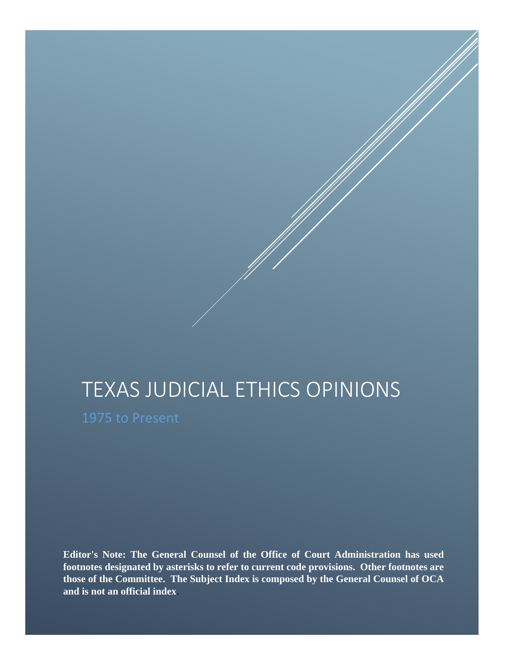## TEXAS JUDICIAL ETHICS OPINIONS

**Editor's Note: The General Counsel of the Office of Court Administration has used footnotes designated by asterisks to refer to current code provisions. Other footnotes are those of the Committee. The Subject Index is composed by the General Counsel of OCA and is not an official index**.